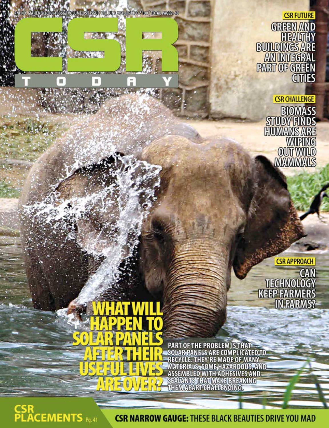18/48866 VOLUME OS | ISSUE DI | JUNE 2018 | PRICE 8 100 | TOTAL PAGES: 48

**TANK** 

**SEARCH AND** 

 $\sim$   $\alpha$ 

**CSR FUTURE GREEN AND ENDINGS ARE**<br>BUILDINGS ARE<br>AN INTEGRAL<br>PART OF GREEN<br>CITIES

> **CSR CHALLENGE BIOMASS** STUDY FINDS<br>EUMANIS ARE<br>WIPING<br>OUT WILD<br>MAMMALS

> > **CSR APPROACH**

**CAN**<br>
TECHNOLOGY<br>
KEEP FARMERS<br>
IN FARMS?

重 f ā

**PART OF THE PROBLEM IS THAT<br>SOLAR PANELS ARE COMPLICATED TO** RECYCLE. THEY'RE MADE OF MANY<br>MATERIALS, SOME HAZARDOUS, AND<br>ASSEMBLED WITH ADHESIVES AND THEM APART CHALLENGING.

**CSR<br>PLACEMENTS** Pg.41

**CSR NARROW GAUGE: THESE BLACK BEAUTIES DRIVE YOU MAD**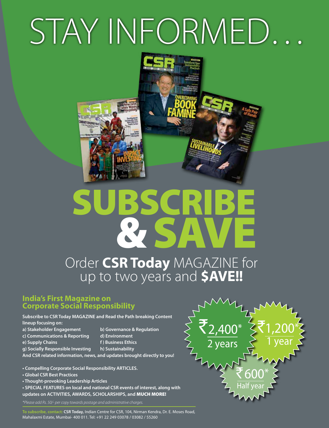# STAY INFORMED…



# Subscribe & SAVE

## Order **CSR Today** MAGAZINE for up to two years and **\$AVE!!**

## **India's First Magazine on Corporate Social Responsibility**

**Subscribe to CSR Today MAGAZINE and Read the Path breaking Content lineup focusing on:**

- **a) Stakeholder Engagement b) Governance & Regulation**
- **c) Communications & Reporting d) Environment**
- **e) Supply Chains f 1 Business Ethics**
- **g) Socially Responsible Investing h) Sustainability**
- 
- 
- -
- **And CSR related information, news, and updates brought directly to you!**
- **Compelling Corporate Social Responsibility ARTICLES.**
- **Global CSR Best Practices**
- **Thought-provoking Leadership Articles**

**• SPECIAL FEATURES on local and national CSR events of interest, along with updates on ACTIVITIES, AWARDS, SCHOLARSHIPS, and** MUCH MORE!

*\*Please add Rs. 50/- per copy towards postage and administrative charges.*



**To subscribe, contact: CSR Today,** Indian Centre for CSR, 104, Nirman Kendra, Dr. E. Moses Road, Mahalaxmi Estate, Mumbai- 400 011. Tel: +91 22 249 03078 / 03082 / 55260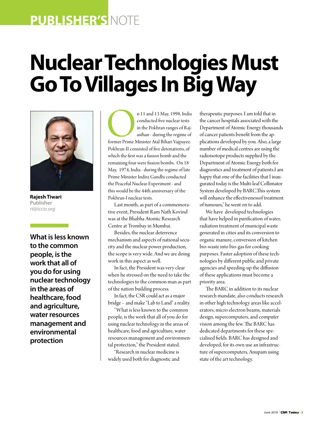## **publisher's** note

## **Nuclear Technologies Must Go To Villages In Big Way**



**Rajesh Tiwari Publisher** *rt@iccsr.org*

**What is less known to the common people, is the work that all of you do for using nuclear technology in the areas of healthcare, food and agriculture, water resources management and environmental protection**

n 11 and 13 May, 1998, India<br>
conducted five nuclear tests<br>
in the Pokhran ranges of Rajasthan - during the regime of<br>
former Prime Minister Atal Bihari Vajpayee.<br>
Pokhran-II consisted of five detenations of conducted five nuclear tests in the Pokhran ranges of Rajasthan - during the regime of former Prime Minister Atal Bihari Vajpayee. Pokhran-II consisted of five detonations, of which the first was a fusion bomb and the remaining four were fission bombs. On 18 May, 1974, India - during the regime of late Prime Minister Indira Gandhi conducted the Peaceful Nuclear Experiment - and this would be the 44th anniversary of the Pokhran-I nuclear tests.

Last month, as part of a commemorative event, President Ram Nath Kovind was at the Bhabha Atomic Research Centre at Trombay in Mumbai.

Besides, the nuclear deterrence mechanism and aspects of national security and the nuclear power production, the scope is very wide. And we are doing work in this aspect as well.

In fact, the President was very clear when he stressed on the need to take the technologies to the common man as part of the nation building process.

In fact, the CSR could act as a major bridge – and make "Lab to Land" a reality.

"What is less known to the common people, is the work that all of you do for using nuclear technology in the areas of healthcare, food and agriculture, water resources management and environmental protection," the President stated.

"Research in nuclear medicine is widely used both for diagnostic and therapeutic purposes. I am told that in the cancer hospitals associated with the Department of Atomic Energy thousands of cancer patients benefit from the applications developed by you. Also, a large number of medical centres are using the radioisotope products supplied by the Department of Atomic Energy both for diagnostics and treatment of patients.I am happy that one of the facilities that I inaugurated today is the Multi-leaf Collimator System developed by BARC.This system will enhance the effectivenessof treatment of tumours," he went on to add.

We have developed technologies that have helped in purification of water, radiation treatment of municipal waste generated in cities and its conversion to organic manure, conversion of kitchen bio-waste into bio-gas for cooking purposes. Faster adoption of these technologies by different public and private agencies and speeding-up the diffusion of these applications must become a priority area.

The BARC in addition to its nuclear research mandate, also conducts research in other high technology areas like accelerators, micro electron beams, materials design, supercomputers, and computer vision among the few. The BARC has dedicated departments for these specialised fields. BARC has designed and developed, for its own use an infrastructure of supercomputers, Anupam using state of the art technology.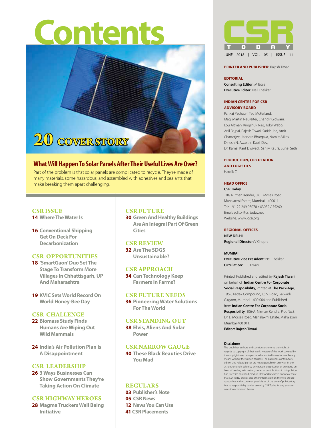# **Contents**



## **What Will Happen To Solar Panels After Their Useful Lives Are Over?**

Part of the problem is that solar panels are complicated to recycle. They're made of many materials, some hazardous, and assembled with adhesives and sealants that make breaking them apart challenging.

## **cSR ISSUE**

- **14 Where The Water Is**
- **16 Conventional Shipping Get On Deck For Decarbonization**

## **CSR OPPORTUNITIES**

- **18 'SmartGaon' Duo Set The Stage To Transform More Villages In Chhattisgarh, Up And Maharashtra**
- **19 KVIC Sets World Record On World Honey-Bee Day**

### **CSR CHALLENGE**

- **22 Biomass Study Finds Humans Are Wiping Out Wild Mammals**
- **24 India's Air Pollution Plan Is A Disappointment**

### **CSR leadership**

**26 3 Ways Businesses Can Show Governments They're Taking Action On Climate**

## **CSR HIGHWAY HEROES**

**28 Magma Truckers Well Being Initiative**

### **CSR FUTURE**

**30 Green And Healthy Buildings Are An Integral Part Of Green Cities**

#### **CSR REVIEW**

**32 Are The SDGS Unsustainable?**

## **CSR APPROACH**

**34 Can Technology Keep Farmers In Farms?**

## **CSR FUTURE NEEDS**

**36 Pioneering Water Solutions For The World**

### **CSR STANDING OUT**

**38 Elvis, Aliens And Solar Power**

#### **CSR NARROW GAUGE**

**40 These Black Beauties Drive You Mad**

## **REGULARS**

**03 Publisher's note 05 CSR News 12 News You Can Use 41 Csr Placements**



#### **Printer and Publisher:** Rajesh Tiwari

#### **EDITORIAL**

**Consulting Editor:** M Bose **Executive Editor:** Neil Thakkar

#### **INDIAN CENTRE FOR CSR ADVISORY BOARD**

Pankaj Pachauri, Ted McFarland, Mag. Martin Neureiter, Chandir Gidwani, Lou Altman, Kingshuk Nag, Toby Webb, Anil Bajpai, Rajesh Tiwari, Satish Jha, Amit Chatterjee, Jitendra Bhargava, Namita Vikas, Dinesh N. Awasthi, Kapil Dev, Dr. Kamal Kant Dwivedi, Sanjiv Kaura, Suhel Seth

#### **PRODUCTION, CIRCULATION AND LOGISTICS**

Hardik C

#### **HEAD OFFICE**

**CSR Today** 

104, Nirman Kendra, Dr. E Moses Road Mahalaxmi Estate, Mumbai - 400011 Tel: +91 22 249 03078 / 03082 / 55260 Email: editor@csrtoday.net Website: www.iccsr.org

#### **REGIONAL OFFICES**

**NEW DELHI Regional Director:** V Chopra

#### **MUMBAI Executive Vice President:** Neil Thakkar **Circulation:** C.R. Tiwari

Printed, Published and Edited by **Rajesh Tiwari**  on behalf of **Indian Centre For Corporate Social Resposibility,** Printed at **The Pack-Age,** 196-I, Katrak Compound, J.S.S. Road, Gaiwadi, Girgaon, Mumbai - 400 004 and Published from **Indian Centre For Corporate Social Resposibility,** 106/A, Nirman Kendra, Plot No.3,

Dr. E. Morses Road, Mahalaxmi Estate, Mahalaxmi, Mumbai 400 011.

**Editor: Rajesh Tiwari**

#### **Disclaimer**

The publisher, authors and contributors reserve their rights in regards to copyright of their work. No part of this work covered by the copyright may be reproduced or copied in any form or by any means without the written consent. The publisher, contributors, editors and related parties are not responsible in any way for the actions or results taken by any person, organisation or any party on basis of reading information, stories or contributions in this publica-tion, website or related product. Reasonable care is taken to ensure that CSR Today articles and other information on the web site are up-to-date and accurate as possible, as of the time of publication, but no responsibility can be taken by CSR Today for any errors or omissions contained herein.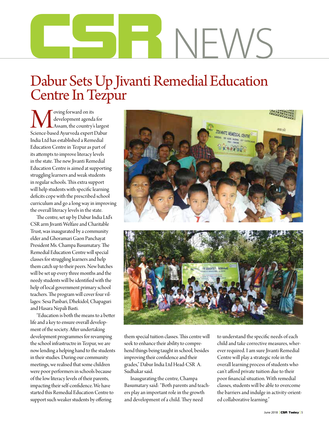# **CSR**News

## Dabur Sets Up Jivanti Remedial Education Centre In Tezpur

 $\begin{array}{c} \displaystyle\bigwedge \begin{array}{c} \text{oving forward on its} \\ \text{development agenda for} \end{array}\\ \text{Science-based Ayurveda expert Dabur} \end{array} \end{array}$ development agenda for Assam, the country's largest India Ltd has established a Remedial Education Centre in Tezpur as part of its attempts to improve literacy levels in the state. The new Jivanti Remedial Education Centre is aimed at supporting struggling learners and weak students in regular schools. This extra support will help students with specific learning deficits cope with the prescribed school curriculum and go a long way in improving the overall literacy levels in the state.

The centre, set up by Dabur India Ltd's CSR arm Jivanti Welfare and Charitable Trust, was inaugurated by a community elder and Ghoramari Gaon Panchayat President Ms. Champa Basumatary. The Remedial Education Centre will special classes for struggling learners and help them catch up to their peers. New batches will be set up every three months and the needy students will be identified with the help of local government primary school teachers. The program will cover four villages: Sesa Panbari, Dhekidol, Chapaguri and Hasara Nepali Basti.

"Education is both the means to a better life and a key to ensure overall development of the society. After undertaking development programmes for revamping the school infrastructre in Tezpur, we are now lending a helping hand to the students in their studies. During our community meetings, we realised that some children were poor performers in schools because of the low literacy levels of their parents, impacting their self-confidence. We have started this Remedial Education Centre to support such weaker students by offering





them special tuition classes. This centre will seek to enhance their ability to comprehend things being taught in school, besides improving their confidence and their grades," Dabur India Ltd Head-CSR A. Sudhakar said.

Inaugurating the centre, Champa Basumatary said: "Both parents and teachers play an important role in the growth and development of a child. They need

to understand the specific needs of each child and take corrective measures, wherever required. I am sure Jivanti Remedial Centre will play a strategic role in the overall learning process of students who can't afford private tuition due to their poor financial situation. With remedial classes, students will be able to overcome the barriers and indulge in activity-oriented collaborative learning."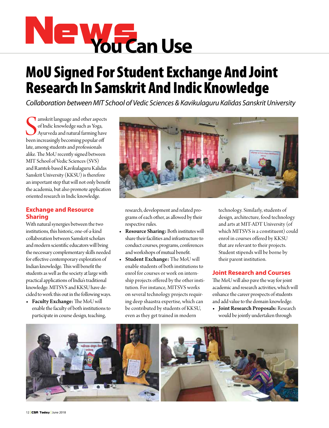

## MoU Signed For Student Exchange And Joint Research In Samskrit And Indic Knowledge

*Collaboration between MIT School of Vedic Sciences & Kavikulaguru Kalidas Sanskrit University*

Samskrit language and other aspect of Indic knowledge such as Yoga, Ayurveda and natural farming have been increasingly becoming popular off amskrit language and other aspects of Indic knowledge such as Yoga, Ayurveda and natural farming have late, among students and professionals alike. The MoU recently signed between MIT School of Vedic Sciences (SVS) and Ramtek-based Kavikulaguru Kalidas Sanskrit University (KKSU) is therefore an important step that will not only benefit the academia, but also promote application oriented research in Indic knowledge.

## **Exchange and Resource Sharing**

With natural synergies between the two institutions, this historic, one-of-a-kind collaboration between Samskrit scholars and modern scientific educators will bring the necessary complementary skills needed for effective contemporary exploration of Indian knowledge. This will benefit the students as well as the society at large with practical applications of India's traditional knowledge. MITSVS and KKSU have decided to work this out in the following ways.

• Faculty Exchange: The MoU will enable the faculty of both institutions to participate in course design, teaching,



research, development and related programs of each other, as allowed by their respective rules.

- Resource Sharing: Both institutes will share their facilities and infrastructure to conduct courses, programs, conferences and workshops of mutual benefit.
- • Student Exchange: The MoU will enable students of both institutions to enrol for courses or work on internship projects offered by the other institution. For instance, MITSVS works on several technology projects requiring deep shaastra expertise, which can be contributed by students of KKSU, even as they get trained in modern

technology. Similarly, students of design, architecture, food technology and arts at MIT-ADT University (of which MITSVS is a constituent) could enrol in courses offered by KKSU that are relevant to their projects. Student stipends will be borne by their parent institution.

## **Joint Research and Courses**

The MoU will also pave the way for joint academic and research activities, which will enhance the career prospects of students and add value to the domain knowledge.

• Joint Research Proposals: Research would be jointly undertaken through

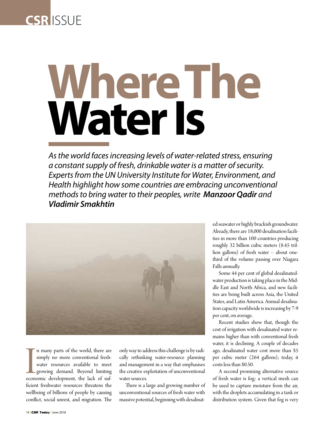

# **Where The Water Is**

*As the world faces increasing levels of water-related stress, ensuring a constant supply of fresh, drinkable water is a matter of security. Experts from the UN University Institute for Water, Environment, and Health highlight how some countries are embracing unconventional methods to bring water to their peoples, write Manzoor Qadir and Vladimir Smakhtin*



In many parts of the world, there are<br>simply no more conventional fresh-<br>water resources available to meet<br>growing demand. Beyond limiting<br>economic development, the lack of suf-<br>ficient freshwater resources threatens the n many parts of the world, there are simply no more conventional freshwater resources available to meet growing demand. Beyond limiting ficient freshwater resources threatens the wellbeing of billions of people by causing conflict, social unrest, and migration. The

only way to address this challenge is by radically rethinking water-resource planning and management in a way that emphasises the creative exploitation of unconventional water sources.

There is a large and growing number of unconventional sources of fresh water with massive potential, beginning with desalinated seawater or highly brackish groundwater. Already, there are 18,000 desalination facilities in more than 100 countries producing roughly 32 billion cubic meters (8.45 trillion gallons) of fresh water – about onethird of the volume passing over Niagara Falls annually.

Some 44 per cent of global desalinatedwater production is taking place in the Middle East and North Africa, and new facilities are being built across Asia, the United States, and Latin America. Annual desalination capacity worldwide is increasing by 7-9 per cent, on average.

Recent studies show that, though the cost of irrigation with desalinated water remains higher than with conventional fresh water, it is declining. A couple of decades ago, desalinated water cost more than \$5 per cubic meter (264 gallons); today, it costs less than \$0.50.

A second promising alternative source of fresh water is fog: a vertical mesh can be used to capture moisture from the air, with the droplets accumulating in a tank or distribution system. Given that fog is very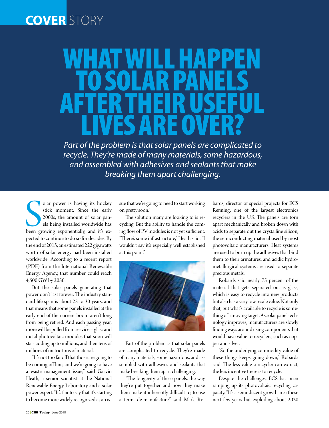## **cover**story

## WHAT WILL HAPPEN TO SOLAR PANEL After Their Useful LIVES ARE OVER?

*Part of the problem is that solar panels are complicated to recycle. They're made of many materials, some hazardous, and assembled with adhesives and sealants that make breaking them apart challenging.*

Solar power is having its hockey<br>stick moment. Since the early<br>2000s, the amount of solar pan-<br>els being installed worldwide has<br>been growing exponentially, and it's ex-<br>nected to continue to do so for decedes. olar power is having its hockey stick moment. Since the early 2000s, the amount of solar panels being installed worldwide has pected to continue to do so for decades. By the end of 2015, an estimated 222 gigawatts worth of solar energy had been installed worldwide. According to a recent report (PDF) from the International Renewable Energy Agency, that number could reach 4,500 GW by 2050.

But the solar panels generating that power don't last forever. The industry standard life span is about 25 to 30 years, and that means that some panels installed at the early end of the current boom aren't long from being retired. And each passing year, more will be pulled from service – glass and metal photovoltaic modules that soon will start adding up to millions, and then tens of millions of metric tons of material.

"It's not too far off that those are going to be coming off line, and we're going to have a waste management issue," said Garvin Heath, a senior scientist at the National Renewable Energy Laboratory and a solar power expert. "It's fair to say that it's starting to become more widely recognized as an issue that we're going to need to start working on pretty soon."

The solution many are looking to is recycling. But the ability to handle the coming flow of PV modules is not yet sufficient. "There's some infrastructure," Heath said. "I wouldn't say it's especially well established at this point."



Part of the problem is that solar panels are complicated to recycle. They're made of many materials, some hazardous, and assembled with adhesives and sealants that make breaking them apart challenging.

"The longevity of these panels, the way they're put together and how they make them make it inherently difficult to, to use a term, de-manufacture," said Mark Robards, director of special projects for ECS Refining, one of the largest electronics recyclers in the U.S. The panels are torn apart mechanically and broken down with acids to separate out the crystalline silicon, the semiconducting material used by most photovoltaic manufacturers. Heat systems are used to burn up the adhesives that bind them to their armatures, and acidic hydrometallurgical systems are used to separate precious metals.

Robards said nearly 75 percent of the material that gets separated out is glass, which is easy to recycle into new products but also has a very low resale value. Not only that, but what's available to recycle is something of a moving target. As solar panel technology improves, manufacturers are slowly finding ways around using components that would have value to recyclers, such as copper and silver.

"So the underlying commodity value of these things keeps going down," Robards said. The less value a recycler can extract, the less incentive there is to recycle.

Despite the challenges, ECS has been ramping up its photovoltaic recycling capacity. "It's a semi-decent growth area these next few years but exploding about 2020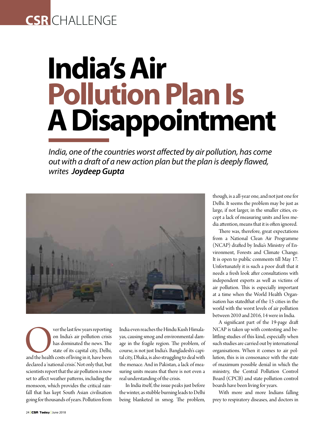## **CSR** CHALLENGE

# **India's Air Pollution Plan Is A Disappointment**

*India, one of the countries worst affected by air pollution, has come out with a draft of a new action plan but the plan is deeply flawed, writes Joydeep Gupta*



ver the last few years reporting<br>
on India's air pollution crisis<br>
has dominated the news. The<br>
state of its capital city, Delhi,<br>
and the health costs of living in it, have been<br>
declared a 'national crisis'. Not only tha on India's air pollution crisis has dominated the news. The state of its capital city, Delhi, declared a 'national crisis'. Not only that, but scientists report that the air pollution is now set to affect weather patterns, including the monsoon, which provides the critical rainfall that has kept South Asian civilisation going for thousands of years. Pollution from

India even reaches the Hindu Kush Himalayas, causing smog and environmental damage in the fragile region. The problem, of course, is not just India's. Bangladesh's capital city, Dhaka, is also struggling to deal with the menace. And in Pakistan, a lack of measuring units means that there is not even a real understanding of the crisis.

In India itself, the issue peaks just before the winter, as stubble burning leads to Delhi being blanketed in smog. The problem, though, is a all-year one, and not just one for Delhi. It seems the problem may be just as large, if not larger, in the smaller cities, except a lack of measuring units and less media attention, means that it is often ignored.

There was, therefore, great expectations from a National Clean Air Programme (NCAP) drafted by India's Ministry of Environment, Forests and Climate Change. It is open to public comments till May 17. Unfortunately it is such a poor draft that it needs a fresh look after consultations with independent experts as well as victims of air pollution. This is especially important at a time when the World Health Organisation has statedthat of the 15 cities in the world with the worst levels of air pollution between 2010 and 2016, 14 were in India.

A significant part of the 19-page draft NCAP is taken up with contesting and belittling studies of this kind, especially when such studies are carried out by international organisations. When it comes to air pollution, this is in consonance with the state of maximum possible denial in which the ministry, the Central Pollution Control Board (CPCB) and state pollution control boards have been living for years.

With more and more Indians falling prey to respiratory diseases, and doctors in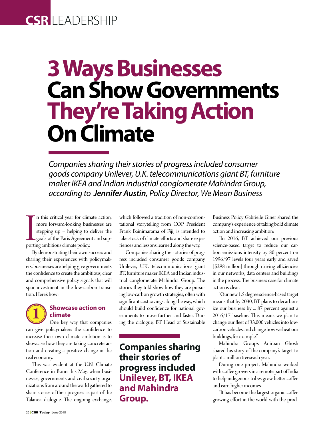## **CSR** leadership

## **3 Ways Businesses Can Show Governments They're Taking Action On Climate**

*Companies sharing their stories of progress included consumer goods company Unilever, U.K. telecommunications giant BT, furniture maker IKEA and Indian industrial conglomerate Mahindra Group, according to Jennifer Austin, Policy Director, We Mean Business*

In this critical year for clim<br>
more forward-looking bus<br>
stepping up – helping to<br>
goals of the Paris Agreemen<br>
porting ambitious climate policy.<br>
By demonstrating their own a n this critical year for climate action, more forward-looking businesses are stepping up – helping to deliver the goals of the Paris Agreement and sup-

By demonstrating their own success and sharing their experiences with policymakers, businesses are helping give governments the confidence to create the ambitious, clear and comprehensive policy signals that will spur investment in the low-carbon transition. Here's how:

## **1 Showcase action on climate**

One key way that companies can give policymakers the confidence to increase their own climate ambition is to showcase how they are taking concrete action and creating a positive change in the real economy.

This was evident at the U.N. Climate Conference in Bonn this May, when businesses, governments and civil society organizations from around the world gathered to share stories of their progress as part of the Talanoa dialogue. The ongoing exchange, which followed a tradition of non-confrontational storytelling from COP President Frank Bainimarama of Fiji, is intended to take stock of climate efforts and share experiences and lessons learned along the way.

Companies sharing their stories of progress included consumer goods company Unilever, U.K. telecommunications giant BT, furniture maker IKEA and Indian industrial conglomerate Mahindra Group. The stories they told show how they are pursuing low-carbon growth strategies, often with significant cost savings along the way, which should build confidence for national governments to move further and faster. During the dialogue, BT Head of Sustainable

## **Companies sharing their stories of progress included Unilever, BT, IKEA and Mahindra Group.**

Business Policy Gabrielle Giner shared the company's experience of taking bold climate action and increasing ambition:

"In 2016, BT achieved our previous science-based target to reduce our carbon emissions intensity by 80 percent on 1996/97 levels four years early and saved [\$298 million] through driving efficiencies in our networks, data centers and buildings in the process. The business case for climate action is clear.

"Our new 1.5 degree science-based target means that by 2030, BT plans to decarbonize our business by ... 87 percent against a 2016/17 baseline. This means we plan to change our fleet of 33,000 vehicles into lowcarbon vehicles and change how we heat our buildings, for example."

Mahindra Group's Anirban Ghosh shared his story of the company's target to plant a million treeseach year.

During one project, Mahindra worked with coffee growers in a remote part of India to help indigenous tribes grow better coffee and earn higher incomes.

"It has become the largest organic coffee growing effort in the world with the prod-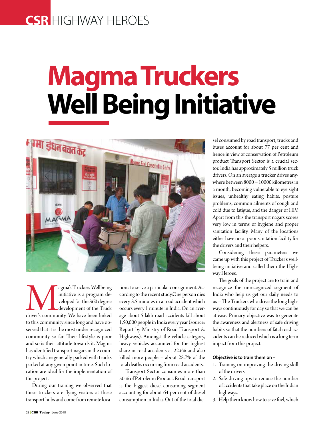## **CSR** HIGHWAY HEROES

# **Magma Truckers Well Being Initiative**



agma's Truckers Wellbeing<br>
initiative is a program de-<br>
veloped for the 360 degree<br>
development of the Truck<br>
to this community. We have been linked initiative is a program developed for the 360 degree development of the Truck to this community since long and have observed that it is the most under recognized community so far. Their lifestyle is poor and so is their attitude towards it. Magma has identified transport nagars in the country which are generally packed with trucks parked at any given point in time. Such location are ideal for the implementation of the project.

During our training we observed that these truckers are flying visitors at these transport hubs and come from remote locations to serve a particular consignment. According to the recent study,One person dies every 3.5 minutes in a road accident which occurs every 1 minute in India. On an average about 5 lakh road accidents kill about 1,50,000 people in India every year (source: Report by Ministry of Road Transport & Highways). Amongst the vehicle category, heavy vehicles accounted for the highest share in road accidents at 22.6% and also killed more people – about 28.7% of the total deaths occurring from road accidents.

Transport Sector consumes more than 50 % of Petroleum Product. Road transport is the biggest diesel-consuming segment accounting for about 64 per cent of diesel consumption in India. Out of the total diesel consumed by road transport, trucks and buses account for about 77 per cent and hence in view of conservation of Petroleum product Transport Sector is a crucial sector. India has approximately 5 million truck drivers. On an average a trucker drives anywhere between 8000 – 10000 kilometres in a month, becoming vulnerable to eye sight issues, unhealthy eating habits, posture problems, common ailments of cough and cold due to fatigue, and the danger of HIV. Apart from this the transport nagars scores very low in terms of hygiene and proper sanitation facility. Many of the locations either have no or poor sanitation facility for the drivers and their helpers.

Considering these parameters we came up with this project of Trucker's wellbeing initiative and called them the Highway Heroes.

The goals of the project are to train and recognize the unrecognized segment of India who help us get our daily needs to us – The Truckers who drive the long highways continuously for day so that we can be at ease. Primary objective was to generate the awareness and alertness of safe driving habits so that the numbers of fatal road accidents can be reduced which is a long term impact from this project.

#### **Objective is to train them on –**

- 1. Training on improving the driving skill of the drivers
- 2. Safe driving tips to reduce the number of accidents that take place on the Indian highways.
- 3. Help them know how to save fuel, which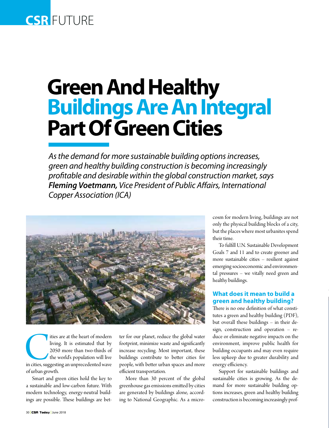## **CSR FUTURE**

## **Green And Healthy Buildings Are An Integral Part Of Green Cities**

*As the demand for more sustainable building options increases, green and healthy building construction is becoming increasingly profitable and desirable within the global construction market, says Fleming Voetmann, Vice President of Public Affairs, International Copper Association (ICA)*



Ities are at the heart of modern<br>
living. It is estimated that by<br>
2050 more than two-thirds of<br>
the world's population will live<br>
in cities, suggesting an unprecedented wave living. It is estimated that by 2050 more than two-thirds of the world's population will live of urban growth.

Smart and green cities hold the key to a sustainable and low-carbon future. With modern technology, energy-neutral buildings are possible. These buildings are better for our planet, reduce the global water footprint, minimize waste and significantly increase recycling. Most important, these buildings contribute to better cities for people, with better urban spaces and more efficient transportation.

More than 30 percent of the global greenhouse gas emissions emitted by cities are generated by buildings alone, according to National Geographic. As a microcosm for modern living, buildings are not only the physical building blocks of a city, but the places where most urbanites spend their time.

To fulfill U.N. Sustainable Development Goals 7 and 11 and to create greener and more sustainable cities – resilient against emerging socioeconomic and environmental pressures – we vitally need green and healthy buildings.

## **What does it mean to build a green and healthy building?**

There is no one definition of what constitutes a green and healthy building (PDF), but overall these buildings – in their design, construction and operation – reduce or eliminate negative impacts on the environment, improve public health for building occupants and may even require less upkeep due to greater durability and energy efficiency.

Support for sustainable buildings and sustainable cities is growing. As the demand for more sustainable building options increases, green and healthy building construction is becoming increasingly prof-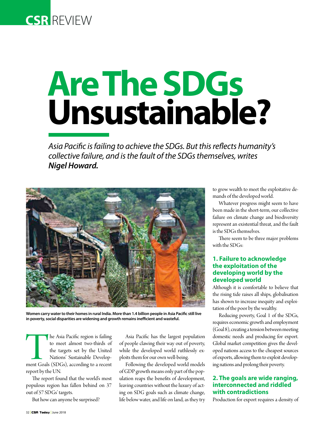

# **Are The Sdgs Unsustainable?**

*Asia Pacific is failing to achieve the SDGs. But this reflects humanity's collective failure, and is the fault of the SDGs themselves, writes Nigel Howard.*



**Women carry water to their homes in rural India. More than 1.4 billion people in Asia Pacific still live in poverty, social disparities are widening and growth remains inefficient and wasteful.**

The Asia Pacific region is failing<br>to meet almost two-thirds of<br>the targets set by the United<br>Nations' Sustainable Develop-<br>ment Goals (SDGs), according to a recent<br>report by the UN to meet almost two-thirds of the targets set by the United Nations' Sustainable Developreport by the UN.

The report found that the world's most populous region has fallen behind on 37 out of 57 SDGs' targets.

But how can anyone be surprised?

Asia Pacific has the largest population of people clawing their way out of poverty, while the developed world ruthlessly exploits them for our own well-being.

Following the developed world models of GDP growth means only part of the population reaps the benefits of development, leaving countries without the luxury of acting on SDG goals such as climate change, life below water, and life on land, as they try to grow wealth to meet the exploitative demands of the developed world.

Whatever progress might seem to have been made in the short-term, our collective failure on climate change and biodiversity represent an existential threat, and the fault is the SDGs themselves.

There seem to be three major problems with the SDGs:

## **1. Failure to acknowledge the exploitation of the developing world by the developed world**

Although it is comfortable to believe that the rising tide raises all ships, globalisation has shown to increase inequity and exploitation of the poor by the wealthy.

Reducing poverty, Goal 1 of the SDGs, requires economic growth and employment (Goal 8), creating a tension between meeting domestic needs and producing for export. Global market competition gives the developed nations access to the cheapest sources of exports, allowing them to exploit developing nations and prolong their poverty.

## **2. The goals are wide ranging, interconnected and riddled with contradictions**

Production for export requires a density of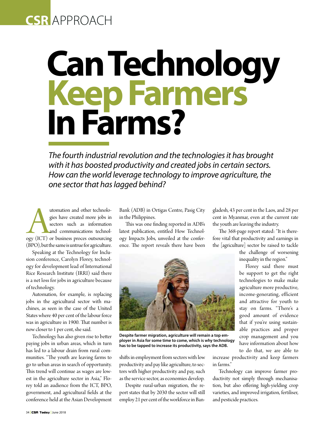## **CSR** approach

# **Can Technology Keep Farmers In Farms?**

*The fourth industrial revolution and the technologies it has brought with it has boosted productivity and created jobs in certain sectors. How can the world leverage technology to improve agriculture, the one sector that has lagged behind?* 

utomation and other technologies have created more jobs in sectors such as information and communications technology (ICT) or business proces outsourcing (BDO) but the exposituative forecally the section of the section of gies have created more jobs in sectors such as information and communications technol-(BPO), but the same is untrue for agriculture.

Speaking at the Technology for Inclusion conference, Carolyn Florey, technology for development lead of International Rice Research Institute (IRRI) said there is a net loss for jobs in agriculture because of technology.

Automation, for example, is replacing jobs in the agricultural sector with machines, as seen in the case of the United States where 40 per cent of the labour force was in agriculture in 1900. That number is now closer to 1 per cent, she said.

Technology has also given rise to better paying jobs in urban areas, which in turn has led to a labour drain from rural communities. "The youth are leaving farms to go to urban areas in search of opportunity. This trend will continue as wages are lowest in the agriculture sector in Asia," Florey told an audience from the ICT, BPO, government, and agricultural fields at the conference held at the Asian Development

Bank (ADB) in Ortigas Centre, Pasig City in the Philippines.

This was one finding reported in ADB's latest publication, entitled How Technology Impacts Jobs, unveiled at the conference. The report reveals there have been



The 368-page report stated: "It is therefore vital that productivity and earnings in the [agriculture] sector be raised to tackle

> the challenge of worsening inequality in the region."

> Florey said there must be support to get the right technologies to make make agriculture more productive, income-generating, efficient and attractive for youth to stay on farms. "There's a good amount of evidence that if you're using sustainable practices and proper crop management and you have information about how to do that, we are able to

shifts in employment from sectors with low productivity and pay like agriculture, to sectors with higher productivity and pay, such as the service sector, as economies develop.

Despite rural-urban migration, the report states that by 2030 the sector will still employ 21 per cent of the workforce in Banincrease productivity and keep farmers in farms."

Technology can improve farmer productivity not simply through mechanisation, but also offering high-yielding crop varieties, and improved irrigation, fertiliser, and pesticide practices.



**Despite farmer migration, agriculture will remain a top employer in Asia for some time to come, which is why technology has to be tapped to increase its productivity, says the ADB.**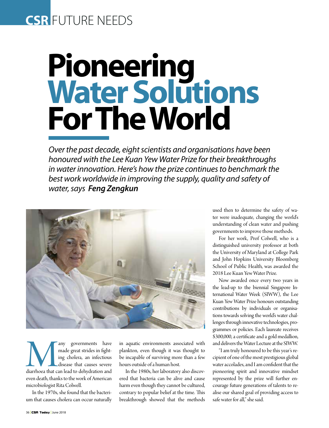## **CSR** future NEEDS

# **Pioneering Water Solutions For The World**

*Over the past decade, eight scientists and organisations have been honoured with the Lee Kuan Yew Water Prize for their breakthroughs in water innovation. Here's how the prize continues to benchmark the best work worldwide in improving the supply, quality and safety of water, says Feng Zengkun*



any governments have<br>
made great strides in fight-<br>
ing cholera, an infectious<br>
disease that causes severe<br>
diarrhoea that can lead to dehydration and<br>
was death thanks to be work of American made great strides in fighting cholera, an infectious disease that causes severe even death, thanks to the work of American microbiologist Rita Colwell.

In the 1970s, she found that the bacterium that causes cholera can occur naturally

in aquatic environments associated with plankton, even though it was thought to be incapable of surviving more than a few hours outside of a human host.

In the 1980s, her laboratory also discovered that bacteria can be alive and cause harm even though they cannot be cultured, contrary to popular belief at the time. This breakthrough showed that the methods used then to determine the safety of water were inadequate, changing the world's understanding of clean water and pushing governments to improve those methods.

For her work, Prof Colwell, who is a distinguished university professor at both the University of Maryland at College Park and John Hopkins University Bloomberg School of Public Health, was awarded the 2018 Lee Kuan Yew Water Prize.

Now awarded once every two years in the lead-up to the biennial Singapore International Water Week (SIWW), the Lee Kuan Yew Water Prize honours outstanding contributions by individuals or organisations towards solving the world's water challenges through innovative technologies, programmes or policies. Each laureate receives \$300,000, a certificate and a gold medallion, and delivers the Water Lecture at the SIWW.

"I am truly honoured to be this year's recipient of one of the most prestigious global water accolades, and I am confident that the pioneering spirit and innovative mindset represented by the prize will further encourage future generations of talents to realise our shared goal of providing access to safe water for all," she said.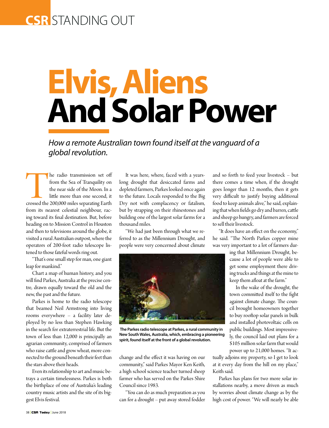## **CSR** standing out

# **Elvis, Aliens And Solar Power**

*How a remote Australian town found itself at the vanguard of a global revolution.*

The radio transmission set off<br>
from the Sea of Tranquility on<br>
the near side of the Moon. In a<br>
little more than one second, it<br>
crossed the 200,000 miles separating Earth<br>
from its nearest celestial neighbour rec from the Sea of Tranquility on the near side of the Moon. In a little more than one second, it from its nearest celestial neighbour, racing toward its final destination. But, before heading on to Mission Control in Houston and then to televisions around the globe, it visited a rural Australian outpost, where the operators of 200-foot radio telescope listened to those fateful words ring out.

"That's one small step for man, one giant leap for mankind."

Chart a map of human history, and you will find Parkes, Australia at the precise centre, drawn equally toward the old and the new, the past and the future.

Parkes is home to the radio telescope that beamed Neil Armstrong into living rooms everywhere – a facility later deployed by no less than Stephen Hawking in the search for extraterrestrial life. But the town of less than 12,000 is principally an agrarian community, comprised of farmers who raise cattle and grow wheat, more connected to the ground beneath their feet than the stars above their heads.

Even its relationship to art and music betrays a certain timelessness. Parkes is both the birthplace of one of Australia's leading country music artists and the site of its biggest Elvis festival.

It was here, where, faced with a yearslong drought that desiccated farms and depleted farmers, Parkes looked once again to the future. Locals responded to the Big Dry not with complacency or fatalism, but by strapping on their rhinestones and building one of the largest solar farms for a thousand miles.

"We had just been through what we referred to as the Millennium Drought, and people were very concerned about climate



 **The Parkes radio telescope at Parkes, a rural community in New South Wales, Australia, which, embracing a pioneering spirit, found itself at the front of a global revolution.** 

change and the effect it was having on our community," said Parkes Mayor Ken Keith, a high school science teacher turned sheep farmer who has served on the Parkes Shire Council since 1983.

"You can do as much preparation as you can for a drought – put away stored fodder and so forth to feed your livestock – but there comes a time when, if the drought goes longer than 12 months, then it gets very difficult to justify buying additional food to keep animals alive," he said, explaining that when fields go dry and barren, cattle and sheep go hungry, and farmers are forced to sell their livestock.

"It does have an effect on the economy," he said. "The North Parkes copper mine was very important to a lot of farmers dur-

> ing that Millennium Drought, because a lot of people were able to get some employment there driving trucks and things at the mine to keep them afloat at the farm."

> In the wake of the drought, the town committed itself to the fight against climate change. The council brought homeowners together to buy rooftop solar panels in bulk and installed photovoltaic cells on public buildings. Most impressively, the council laid out plans for a \$105 million solar farm that would power up to 21,000 homes. "It ac-

tually adjoins my property, so I get to look at it every day from the hill on my place," Keith said.

Parkes has plans for two more solar installations nearby, a move driven as much by worries about climate change as by the high cost of power. "We will nearly be able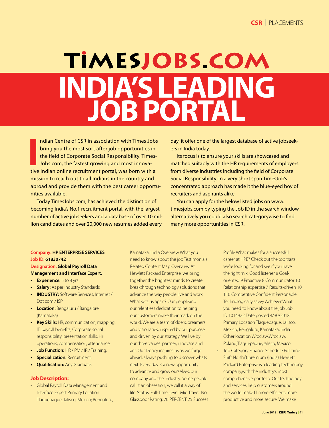## TIMESJOBS.COM **India's Leading Job Portal**

Indian Centre of CSR in association with Times Jobs bring you the most sort after job opportunities in the field of Corporate Social Responsibility. Times Jobs.com, the fastest growing and most innovative Indian online rec ndian Centre of CSR in association with Times Jobs bring you the most sort after job opportunities in the field of Corporate Social Responsibility. Times-Jobs.com, the fastest growing and most innovamission to reach out to all Indians in the country and abroad and provide them with the best career opportunities available.

Today TimesJobs.com, has achieved the distinction of becoming India's No.1 recruitment portal, with the largest number of active jobseekers and a database of over 10 million candidates and over 20,000 new resumes added every

day, it offer one of the largest database of active jobseekers in India today.

Its focus is to ensure your skills are showcased and matched suitably with the HR requirements of employers from diverse industries including the field of Corporate Social Responsibility. In a very short span TimesJob's concentrated approach has made it the blue-eyed boy of recruiters and aspirants alike.

You can apply for the below listed jobs on www. timesjobs.com by typing the Job ID in the search window, alternatively you could also search categorywise to find many more opportunities in CSR.

## **Company: HP ENTERPRISE SERVICES Job ID: 61830742**

### **Designation: Global Payroll Data Management and Interface Expert.**

- **• Experience:** 5 to 8 yrs
- **• Salary:** As per Industry Standards
- **• INDUSTRY:** Software Services, Internet / Dot com / ISP
- **• Location:** Bengaluru / Bangalore (Karnataka)
- **• Key Skills:** HR, communication, mapping, IT, payroll benefits, Corporate social responsibility, presentation skills, Hr operations, compensation, attendance.
- **• Job Function:** HR / PM / IR / Training.
- **Specialization: Recruitment.**
- **Qualification: Any Graduate.**

#### **Job Description:**

• Global Payroll Data Management and Interface Expert Primary Location Tlaquepaque, Jalisco, Mexico; Bengaluru,

Karnataka, India Overview What you need to know about the job Testimonials Related Content Map Overview At Hewlett Packard Enterprise, we bring together the brightest minds to create breakthrough technology solutions that advance the way people live and work. What sets us apart? Our peopleand our relentless dedication to helping our customers make their mark on the world. We are a team of doers, dreamers and visionaries; inspired by our purpose and driven by our strategy. We live by our three values: partner, innovate and act. Our legacy inspires us as we forge ahead, always pushing to discover whats next. Every day is a new opportunity to advance and grow ourselves, our company and the industry. Some people call it an obsession, we call it a way of life. Status: Full-Time Level: Mid Travel: No Glassdoor Rating: 70 PERCENT 25 Success

Profile What makes for a successful career at HPE? Check out the top traits we're looking for and see if you have the right mix. Good listener 8 Goaloriented 9 Proactive 8 Communicator 10 Relationship expertise 7 Results-driven 10 110 Competitive Confident Personable Technologically savvy Achiever What you need to know about the job Job ID 1014922 Date posted 4/30/2018 Primary Location Tlaquepaque, Jalisco, Mexico; Bengaluru, Karnataka, India Other location Wroclaw, Wroclaw, Poland;Tlaquepaque,Jalisco, Mexico

• Job Category Finance Schedule Full time Shift No shift premium (India) Hewlett Packard Enterprise is a leading technology company,with the industry's most comprehensive portfolio. Our technology and services help customers around the world make IT more efficient, more productive and more secure. We make